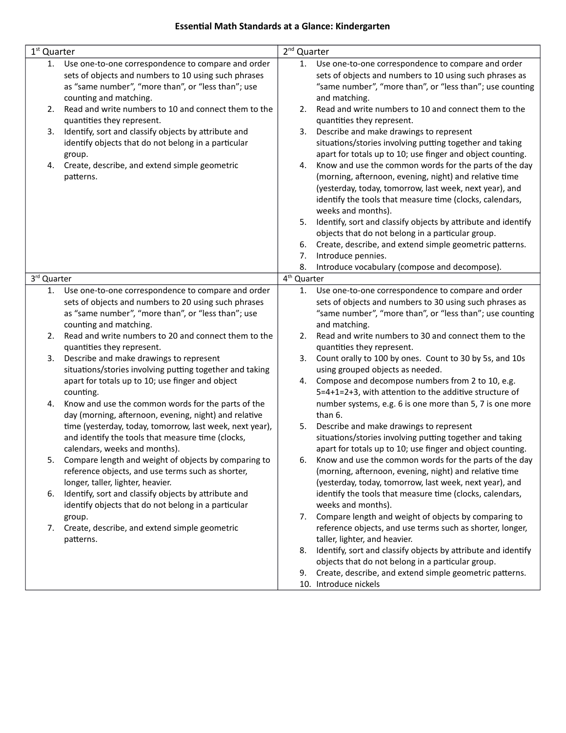#### **Essential Math Standards at a Glance: Kindergarten**

| 1 <sup>st</sup> Quarter |                                                                                                                                                                                            | $2nd$ Quarter           |                                                                                                                                                                                                                                                               |
|-------------------------|--------------------------------------------------------------------------------------------------------------------------------------------------------------------------------------------|-------------------------|---------------------------------------------------------------------------------------------------------------------------------------------------------------------------------------------------------------------------------------------------------------|
| 1.                      | Use one-to-one correspondence to compare and order<br>sets of objects and numbers to 10 using such phrases<br>as "same number", "more than", or "less than"; use<br>counting and matching. | 1.                      | Use one-to-one correspondence to compare and order<br>sets of objects and numbers to 10 using such phrases as<br>"same number", "more than", or "less than"; use counting<br>and matching.                                                                    |
| 2.                      | Read and write numbers to 10 and connect them to the<br>quantities they represent.                                                                                                         | 2.                      | Read and write numbers to 10 and connect them to the<br>quantities they represent.                                                                                                                                                                            |
| 3.                      | Identify, sort and classify objects by attribute and<br>identify objects that do not belong in a particular<br>group.                                                                      | 3.                      | Describe and make drawings to represent<br>situations/stories involving putting together and taking<br>apart for totals up to 10; use finger and object counting.                                                                                             |
| 4.                      | Create, describe, and extend simple geometric<br>patterns.                                                                                                                                 | 4.                      | Know and use the common words for the parts of the day<br>(morning, afternoon, evening, night) and relative time<br>(yesterday, today, tomorrow, last week, next year), and<br>identify the tools that measure time (clocks, calendars,<br>weeks and months). |
|                         |                                                                                                                                                                                            | 5.                      | Identify, sort and classify objects by attribute and identify<br>objects that do not belong in a particular group.                                                                                                                                            |
|                         |                                                                                                                                                                                            | 6.                      | Create, describe, and extend simple geometric patterns.                                                                                                                                                                                                       |
|                         |                                                                                                                                                                                            | 7.<br>8.                | Introduce pennies.<br>Introduce vocabulary (compose and decompose).                                                                                                                                                                                           |
| 3rd Quarter             |                                                                                                                                                                                            | 4 <sup>th</sup> Quarter |                                                                                                                                                                                                                                                               |
| 1.                      | Use one-to-one correspondence to compare and order<br>sets of objects and numbers to 20 using such phrases<br>as "same number", "more than", or "less than"; use<br>counting and matching. | 1.                      | Use one-to-one correspondence to compare and order<br>sets of objects and numbers to 30 using such phrases as<br>"same number", "more than", or "less than"; use counting<br>and matching.                                                                    |
| 2.                      | Read and write numbers to 20 and connect them to the<br>quantities they represent.                                                                                                         | 2.                      | Read and write numbers to 30 and connect them to the<br>quantities they represent.                                                                                                                                                                            |
| 3.                      | Describe and make drawings to represent<br>situations/stories involving putting together and taking<br>apart for totals up to 10; use finger and object                                    | 3.<br>4.                | Count orally to 100 by ones. Count to 30 by 5s, and 10s<br>using grouped objects as needed.<br>Compose and decompose numbers from 2 to 10, e.g.                                                                                                               |
| 4.                      | counting.<br>Know and use the common words for the parts of the<br>day (morning, afternoon, evening, night) and relative                                                                   |                         | 5=4+1=2+3, with attention to the additive structure of<br>number systems, e.g. 6 is one more than 5, 7 is one more<br>than 6.                                                                                                                                 |
|                         | time (yesterday, today, tomorrow, last week, next year),<br>and identify the tools that measure time (clocks,<br>calendars, weeks and months).                                             | 5.                      | Describe and make drawings to represent<br>situations/stories involving putting together and taking<br>apart for totals up to 10; use finger and object counting.                                                                                             |
|                         | Compare length and weight of objects by comparing to<br>reference objects, and use terms such as shorter,<br>longer, taller, lighter, heavier.                                             |                         | Know and use the common words for the parts of the day<br>(morning, afternoon, evening, night) and relative time<br>(yesterday, today, tomorrow, last week, next year), and                                                                                   |
| 6.                      | Identify, sort and classify objects by attribute and<br>identify objects that do not belong in a particular                                                                                |                         | identify the tools that measure time (clocks, calendars,<br>weeks and months).                                                                                                                                                                                |
|                         | group.<br>7. Create, describe, and extend simple geometric<br>patterns.                                                                                                                    |                         | 7. Compare length and weight of objects by comparing to<br>reference objects, and use terms such as shorter, longer,<br>taller, lighter, and heavier.                                                                                                         |
|                         |                                                                                                                                                                                            | 8.<br>9.                | Identify, sort and classify objects by attribute and identify<br>objects that do not belong in a particular group.<br>Create, describe, and extend simple geometric patterns.                                                                                 |
|                         |                                                                                                                                                                                            |                         | 10. Introduce nickels                                                                                                                                                                                                                                         |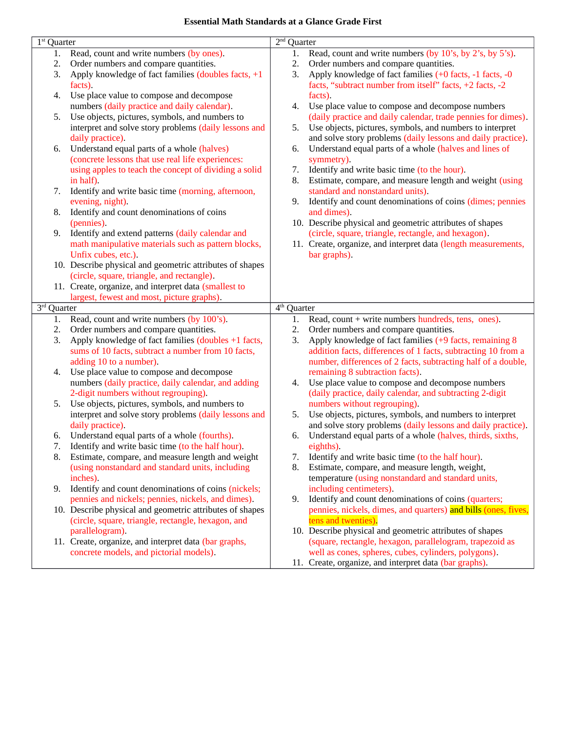#### **Essential Math Standards at a Glance Grade First**

| $\overline{1}$ <sup>st</sup> Quarter |                                                                                                         | $2nd$ Quarter                     |                                                                                                                          |
|--------------------------------------|---------------------------------------------------------------------------------------------------------|-----------------------------------|--------------------------------------------------------------------------------------------------------------------------|
| 1.                                   | Read, count and write numbers (by ones).                                                                | 1.                                | Read, count and write numbers (by 10's, by 2's, by 5's).                                                                 |
| 2.                                   | Order numbers and compare quantities.                                                                   | 2.                                | Order numbers and compare quantities.                                                                                    |
| 3.                                   | Apply knowledge of fact families (doubles facts, +1                                                     | 3.                                | Apply knowledge of fact families (+0 facts, -1 facts, -0                                                                 |
|                                      | facts).                                                                                                 |                                   | facts, "subtract number from itself" facts, +2 facts, -2                                                                 |
| 4.                                   | Use place value to compose and decompose                                                                |                                   | facts).                                                                                                                  |
|                                      | numbers (daily practice and daily calendar).                                                            | 4.                                | Use place value to compose and decompose numbers                                                                         |
| 5.                                   | Use objects, pictures, symbols, and numbers to                                                          |                                   | (daily practice and daily calendar, trade pennies for dimes).                                                            |
|                                      | interpret and solve story problems (daily lessons and                                                   | 5.                                | Use objects, pictures, symbols, and numbers to interpret                                                                 |
|                                      | daily practice).                                                                                        |                                   | and solve story problems (daily lessons and daily practice).                                                             |
| 6.                                   | Understand equal parts of a whole (halves)                                                              | 6.                                | Understand equal parts of a whole (halves and lines of                                                                   |
|                                      | (concrete lessons that use real life experiences:                                                       |                                   | symmetry).                                                                                                               |
|                                      | using apples to teach the concept of dividing a solid                                                   | 7.                                | Identify and write basic time (to the hour).                                                                             |
|                                      | in half).                                                                                               | 8.                                | Estimate, compare, and measure length and weight (using                                                                  |
| 7.                                   | Identify and write basic time (morning, afternoon,                                                      |                                   | standard and nonstandard units).                                                                                         |
|                                      | evening, night).                                                                                        | 9.                                | Identify and count denominations of coins (dimes; pennies                                                                |
| 8.                                   | Identify and count denominations of coins                                                               |                                   | and dimes).                                                                                                              |
|                                      | (pennies).                                                                                              |                                   | 10. Describe physical and geometric attributes of shapes                                                                 |
| 9.                                   | Identify and extend patterns (daily calendar and                                                        |                                   | (circle, square, triangle, rectangle, and hexagon).                                                                      |
|                                      | math manipulative materials such as pattern blocks,                                                     |                                   | 11. Create, organize, and interpret data (length measurements,                                                           |
|                                      | Unfix cubes, etc.).                                                                                     |                                   | bar graphs).                                                                                                             |
|                                      | 10. Describe physical and geometric attributes of shapes                                                |                                   |                                                                                                                          |
|                                      | (circle, square, triangle, and rectangle).                                                              |                                   |                                                                                                                          |
|                                      | 11. Create, organize, and interpret data (smallest to                                                   |                                   |                                                                                                                          |
|                                      | largest, fewest and most, picture graphs).                                                              |                                   |                                                                                                                          |
|                                      |                                                                                                         |                                   |                                                                                                                          |
|                                      |                                                                                                         |                                   |                                                                                                                          |
| 3 <sup>rd</sup> Quarter<br>1.        |                                                                                                         | $\overline{4^{th}}$ Quarter<br>1. |                                                                                                                          |
| 2.                                   | Read, count and write numbers (by 100's).                                                               | 2.                                | Read, count + write numbers hundreds, tens, ones).                                                                       |
| 3.                                   | Order numbers and compare quantities.                                                                   | 3.                                | Order numbers and compare quantities.                                                                                    |
|                                      | Apply knowledge of fact families (doubles +1 facts,                                                     |                                   | Apply knowledge of fact families (+9 facts, remaining 8                                                                  |
|                                      | sums of 10 facts, subtract a number from 10 facts,                                                      |                                   | addition facts, differences of 1 facts, subtracting 10 from a                                                            |
| 4.                                   | adding 10 to a number).                                                                                 |                                   | number, differences of 2 facts, subtracting half of a double,                                                            |
|                                      | Use place value to compose and decompose                                                                | 4.                                | remaining 8 subtraction facts).                                                                                          |
|                                      | numbers (daily practice, daily calendar, and adding                                                     |                                   | Use place value to compose and decompose numbers                                                                         |
| 5.                                   | 2-digit numbers without regrouping).                                                                    |                                   | (daily practice, daily calendar, and subtracting 2-digit<br>numbers without regrouping).                                 |
|                                      | Use objects, pictures, symbols, and numbers to<br>interpret and solve story problems (daily lessons and | 5.                                |                                                                                                                          |
|                                      | daily practice).                                                                                        |                                   | Use objects, pictures, symbols, and numbers to interpret<br>and solve story problems (daily lessons and daily practice). |
| 6.                                   | Understand equal parts of a whole (fourths).                                                            | 6.                                | Understand equal parts of a whole (halves, thirds, sixths,                                                               |
| 7.                                   |                                                                                                         |                                   | eighths).                                                                                                                |
| 8.                                   | Identify and write basic time (to the half hour).<br>Estimate, compare, and measure length and weight   | 7.                                | Identify and write basic time (to the half hour).                                                                        |
|                                      | (using nonstandard and standard units, including                                                        | 8.                                | Estimate, compare, and measure length, weight,                                                                           |
|                                      | inches).                                                                                                |                                   | temperature (using nonstandard and standard units,                                                                       |
| 9.                                   | Identify and count denominations of coins (nickels;                                                     |                                   | including centimeters).                                                                                                  |
|                                      | pennies and nickels; pennies, nickels, and dimes).                                                      | 9.                                | Identify and count denominations of coins (quarters;                                                                     |
|                                      | 10. Describe physical and geometric attributes of shapes                                                |                                   | pennies, nickels, dimes, and quarters) and bills (ones, fives,                                                           |
|                                      | (circle, square, triangle, rectangle, hexagon, and                                                      |                                   | tens and twenties).                                                                                                      |
|                                      | parallelogram).                                                                                         |                                   | 10. Describe physical and geometric attributes of shapes                                                                 |
|                                      | 11. Create, organize, and interpret data (bar graphs,                                                   |                                   | (square, rectangle, hexagon, parallelogram, trapezoid as                                                                 |
|                                      | concrete models, and pictorial models).                                                                 |                                   | well as cones, spheres, cubes, cylinders, polygons).<br>11. Create, organize, and interpret data (bar graphs).           |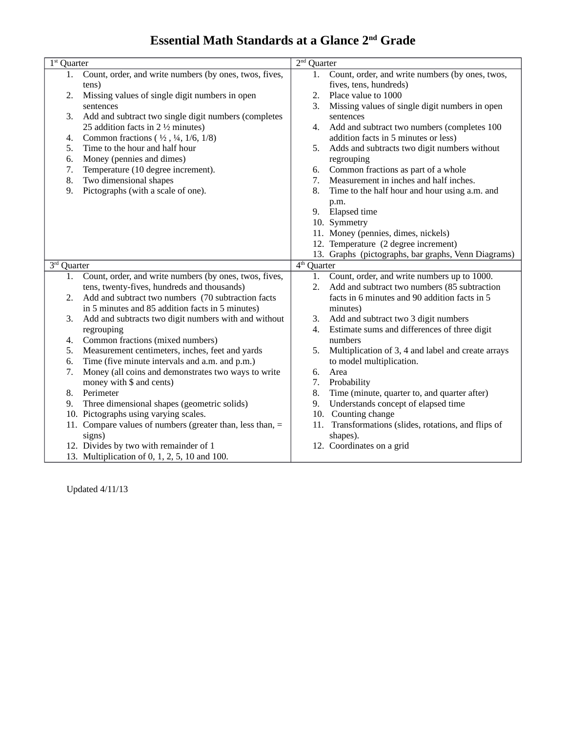### **Essential Math Standards at a Glance 2nd Grade**

| $1st$ Quarter |                                                                                         | $2nd$ Quarter |                                                     |
|---------------|-----------------------------------------------------------------------------------------|---------------|-----------------------------------------------------|
| 1.            | Count, order, and write numbers (by ones, twos, fives,                                  | 1.            | Count, order, and write numbers (by ones, twos,     |
|               | tens)                                                                                   |               | fives, tens, hundreds)                              |
| 2.            | Missing values of single digit numbers in open                                          | 2.            | Place value to 1000                                 |
|               | sentences                                                                               | 3.            | Missing values of single digit numbers in open      |
| 3.            | Add and subtract two single digit numbers (completes                                    |               | sentences                                           |
|               | 25 addition facts in 2 $\frac{1}{2}$ minutes)                                           | 4.            | Add and subtract two numbers (completes 100         |
| 4.            | Common fractions $(\frac{1}{2}, \frac{1}{4}, \frac{1}{6}, \frac{1}{8})$                 |               | addition facts in 5 minutes or less)                |
| 5.            | Time to the hour and half hour                                                          | 5.            | Adds and subtracts two digit numbers without        |
| 6.            | Money (pennies and dimes)                                                               |               | regrouping                                          |
| 7.            | Temperature (10 degree increment).                                                      | 6.            | Common fractions as part of a whole                 |
| 8.            | Two dimensional shapes                                                                  | 7.            | Measurement in inches and half inches.              |
| 9.            | Pictographs (with a scale of one).                                                      | 8.            | Time to the half hour and hour using a.m. and       |
|               |                                                                                         |               | p.m.                                                |
|               |                                                                                         |               | 9. Elapsed time                                     |
|               |                                                                                         |               | 10. Symmetry                                        |
|               |                                                                                         |               | 11. Money (pennies, dimes, nickels)                 |
|               |                                                                                         |               | 12. Temperature (2 degree increment)                |
|               |                                                                                         |               | 13. Graphs (pictographs, bar graphs, Venn Diagrams) |
| 3rd Quarter   |                                                                                         | $4th$ Quarter |                                                     |
| 1.            | Count, order, and write numbers (by ones, twos, fives,                                  | 1.            | Count, order, and write numbers up to 1000.         |
|               | tens, twenty-fives, hundreds and thousands)                                             | 2.            | Add and subtract two numbers (85 subtraction        |
| 2.            | Add and subtract two numbers (70 subtraction facts                                      |               | facts in 6 minutes and 90 addition facts in 5       |
|               | in 5 minutes and 85 addition facts in 5 minutes)                                        |               |                                                     |
|               |                                                                                         |               | minutes)                                            |
| 3.            | Add and subtracts two digit numbers with and without                                    | 3.            | Add and subtract two 3 digit numbers                |
|               | regrouping                                                                              | 4.            | Estimate sums and differences of three digit        |
| 4.            | Common fractions (mixed numbers)                                                        |               | numbers                                             |
| 5.            | Measurement centimeters, inches, feet and yards                                         | 5.            | Multiplication of 3, 4 and label and create arrays  |
| 6.            | Time (five minute intervals and a.m. and p.m.)                                          |               | to model multiplication.                            |
| 7.            | Money (all coins and demonstrates two ways to write                                     | 6.            | Area                                                |
|               | money with \$ and cents)                                                                | 7.            | Probability                                         |
| 8.            | Perimeter                                                                               | 8.            | Time (minute, quarter to, and quarter after)        |
| 9.            | Three dimensional shapes (geometric solids)                                             | 9.            | Understands concept of elapsed time                 |
|               | 10. Pictographs using varying scales.                                                   |               | 10. Counting change                                 |
|               | 11. Compare values of numbers (greater than, less than, =                               | 11.           | Transformations (slides, rotations, and flips of    |
|               | signs)                                                                                  |               | shapes).                                            |
|               | 12. Divides by two with remainder of 1<br>13. Multiplication of 0, 1, 2, 5, 10 and 100. |               | 12. Coordinates on a grid                           |

Updated 4/11/13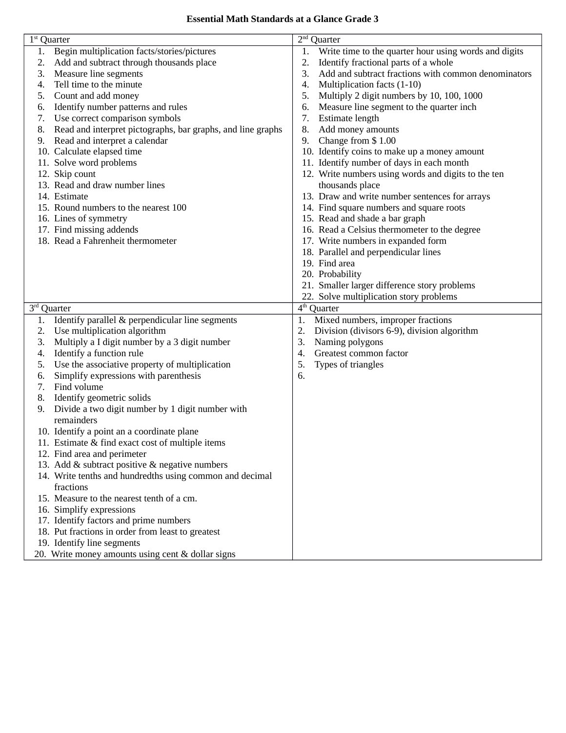#### **Essential Math Standards at a Glance Grade 3**

| $1st$ Quarter |                                                             | $2nd$ Quarter                                               |
|---------------|-------------------------------------------------------------|-------------------------------------------------------------|
| 1.            | Begin multiplication facts/stories/pictures                 | Write time to the quarter hour using words and digits<br>1. |
| 2.            | Add and subtract through thousands place                    | Identify fractional parts of a whole<br>2.                  |
| 3.            | Measure line segments                                       | 3.<br>Add and subtract fractions with common denominators   |
| 4.            | Tell time to the minute                                     | Multiplication facts (1-10)<br>4.                           |
| 5.            | Count and add money                                         | Multiply 2 digit numbers by 10, 100, 1000<br>5.             |
| 6.            | Identify number patterns and rules                          | Measure line segment to the quarter inch<br>6.              |
| 7.            | Use correct comparison symbols                              | 7.<br>Estimate length                                       |
| 8.            | Read and interpret pictographs, bar graphs, and line graphs | Add money amounts<br>8.                                     |
| 9.            | Read and interpret a calendar                               | Change from \$1.00<br>9.                                    |
|               | 10. Calculate elapsed time                                  | 10. Identify coins to make up a money amount                |
|               | 11. Solve word problems                                     | 11. Identify number of days in each month                   |
|               | 12. Skip count                                              | 12. Write numbers using words and digits to the ten         |
|               | 13. Read and draw number lines                              | thousands place                                             |
|               | 14. Estimate                                                | 13. Draw and write number sentences for arrays              |
|               | 15. Round numbers to the nearest 100                        | 14. Find square numbers and square roots                    |
|               | 16. Lines of symmetry                                       | 15. Read and shade a bar graph                              |
|               | 17. Find missing addends                                    | 16. Read a Celsius thermometer to the degree                |
|               | 18. Read a Fahrenheit thermometer                           | 17. Write numbers in expanded form                          |
|               |                                                             | 18. Parallel and perpendicular lines                        |
|               |                                                             | 19. Find area                                               |
|               |                                                             | 20. Probability                                             |
|               |                                                             | 21. Smaller larger difference story problems                |
|               |                                                             | 22. Solve multiplication story problems                     |
| 3rd Quarter   |                                                             | 4 <sup>th</sup> Quarter                                     |
| 1.            | Identify parallel & perpendicular line segments             | Mixed numbers, improper fractions<br>1.                     |
| 2.            | Use multiplication algorithm                                | Division (divisors 6-9), division algorithm<br>2.           |
| 3.            | Multiply a I digit number by a 3 digit number               | 3.<br>Naming polygons                                       |
| 4.            | Identify a function rule                                    | Greatest common factor<br>$\boldsymbol{4}$ .                |
| 5.            | Use the associative property of multiplication              | 5.<br>Types of triangles                                    |
| 6.            | Simplify expressions with parenthesis                       | 6.                                                          |
| 7.            | Find volume                                                 |                                                             |
| 8.            | Identify geometric solids                                   |                                                             |
| 9.            | Divide a two digit number by 1 digit number with            |                                                             |
|               | remainders                                                  |                                                             |
|               | 10. Identify a point an a coordinate plane                  |                                                             |
|               | 11. Estimate & find exact cost of multiple items            |                                                             |
|               | 12. Find area and perimeter                                 |                                                             |
|               | 13. Add & subtract positive & negative numbers              |                                                             |
|               | 14. Write tenths and hundredths using common and decimal    |                                                             |
|               | fractions                                                   |                                                             |
|               | 15. Measure to the nearest tenth of a cm.                   |                                                             |
|               | 16. Simplify expressions                                    |                                                             |
|               | 17. Identify factors and prime numbers                      |                                                             |
|               | 18. Put fractions in order from least to greatest           |                                                             |
|               | 19. Identify line segments                                  |                                                             |
|               | 20. Write money amounts using cent & dollar signs           |                                                             |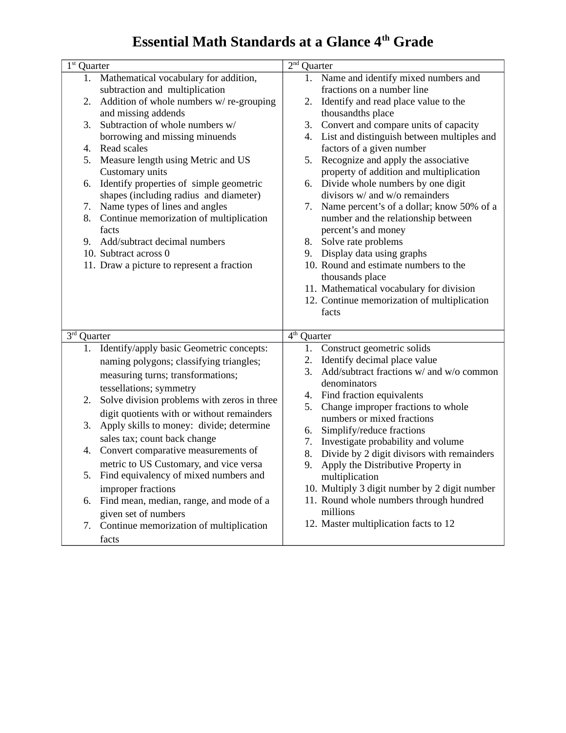## **Essential Math Standards at a Glance 4<sup>th</sup> Grade**

| $1st$ Quarter                                                                                                                                                                                                                                                                                                                                                                                                                                                                                                                                                                                                                                                | $2nd$ Quarter                                                                                                                                                                                                                                                                                                                                                                                                                                                                                                                                                                                                                                                                                                                                                                                 |
|--------------------------------------------------------------------------------------------------------------------------------------------------------------------------------------------------------------------------------------------------------------------------------------------------------------------------------------------------------------------------------------------------------------------------------------------------------------------------------------------------------------------------------------------------------------------------------------------------------------------------------------------------------------|-----------------------------------------------------------------------------------------------------------------------------------------------------------------------------------------------------------------------------------------------------------------------------------------------------------------------------------------------------------------------------------------------------------------------------------------------------------------------------------------------------------------------------------------------------------------------------------------------------------------------------------------------------------------------------------------------------------------------------------------------------------------------------------------------|
| Mathematical vocabulary for addition,<br>1.<br>subtraction and multiplication<br>Addition of whole numbers w/re-grouping<br>2.<br>and missing addends<br>3.<br>Subtraction of whole numbers w/<br>borrowing and missing minuends<br>Read scales<br>4.<br>Measure length using Metric and US<br>5.<br>Customary units<br>Identify properties of simple geometric<br>6.<br>shapes (including radius and diameter)<br>Name types of lines and angles<br>7.<br>Continue memorization of multiplication<br>8.<br>facts<br>Add/subtract decimal numbers<br>9.<br>10. Subtract across 0<br>11. Draw a picture to represent a fraction                               | 1. Name and identify mixed numbers and<br>fractions on a number line<br>Identify and read place value to the<br>2.<br>thousandths place<br>Convert and compare units of capacity<br>3.<br>List and distinguish between multiples and<br>4.<br>factors of a given number<br>Recognize and apply the associative<br>5.<br>property of addition and multiplication<br>Divide whole numbers by one digit<br>6.<br>divisors w/ and w/o remainders<br>Name percent's of a dollar; know 50% of a<br>7.<br>number and the relationship between<br>percent's and money<br>Solve rate problems<br>8.<br>Display data using graphs<br>9.<br>10. Round and estimate numbers to the<br>thousands place<br>11. Mathematical vocabulary for division<br>12. Continue memorization of multiplication<br>facts |
| 3rd Quarter<br>Identify/apply basic Geometric concepts:<br>1.<br>naming polygons; classifying triangles;<br>measuring turns; transformations;<br>tessellations; symmetry<br>Solve division problems with zeros in three<br>2.<br>digit quotients with or without remainders<br>Apply skills to money: divide; determine<br>3.<br>sales tax; count back change<br>Convert comparative measurements of<br>4.<br>metric to US Customary, and vice versa<br>Find equivalency of mixed numbers and<br>5.<br>improper fractions<br>Find mean, median, range, and mode of a<br>6.<br>given set of numbers<br>Continue memorization of multiplication<br>7.<br>facts | 4 <sup>th</sup><br>Quarter<br>Construct geometric solids<br>1.<br>Identify decimal place value<br>2.<br>Add/subtract fractions w/ and w/o common<br>3.<br>denominators<br>Find fraction equivalents<br>4.<br>5.<br>Change improper fractions to whole<br>numbers or mixed fractions<br>Simplify/reduce fractions<br>6.<br>Investigate probability and volume<br>7.<br>8.<br>Divide by 2 digit divisors with remainders<br>Apply the Distributive Property in<br>9.<br>multiplication<br>10. Multiply 3 digit number by 2 digit number<br>11. Round whole numbers through hundred<br>millions<br>12. Master multiplication facts to 12                                                                                                                                                         |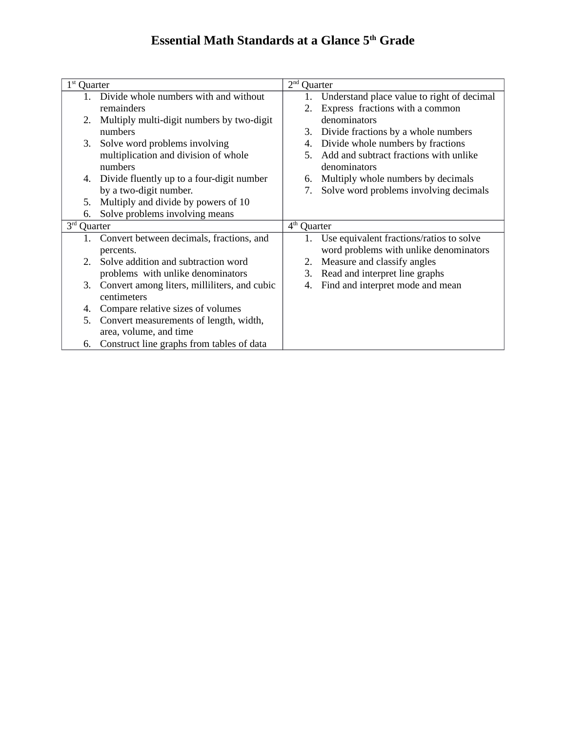### **Essential Math Standards at a Glance 5<sup>th</sup> Grade**

| $1st$ Quarter |                                              | 2 <sup>nd</sup>         | Quarter                                     |
|---------------|----------------------------------------------|-------------------------|---------------------------------------------|
| $1_{-}$       | Divide whole numbers with and without        | 1.                      | Understand place value to right of decimal  |
|               | remainders                                   | 2.                      | Express fractions with a common             |
| 2.            | Multiply multi-digit numbers by two-digit    |                         | denominators                                |
|               | numbers                                      | 3.                      | Divide fractions by a whole numbers         |
| 3.            | Solve word problems involving                | 4.                      | Divide whole numbers by fractions           |
|               | multiplication and division of whole         | 5.                      | Add and subtract fractions with unlike      |
|               | numbers                                      |                         | denominators                                |
| 4.            | Divide fluently up to a four-digit number    | 6.                      | Multiply whole numbers by decimals          |
|               | by a two-digit number.                       | 7.                      | Solve word problems involving decimals      |
| 5.            | Multiply and divide by powers of 10          |                         |                                             |
| 6.            | Solve problems involving means               |                         |                                             |
| 3rd Quarter   |                                              | 4 <sup>th</sup> Quarter |                                             |
| 1.            | Convert between decimals, fractions, and     |                         | 1. Use equivalent fractions/ratios to solve |
|               | percents.                                    |                         | word problems with unlike denominators      |
| 2.            | Solve addition and subtraction word          |                         | 2. Measure and classify angles              |
|               | problems with unlike denominators            | 3.                      | Read and interpret line graphs              |
| З.            | Convert among liters, milliliters, and cubic | 4.                      | Find and interpret mode and mean            |
|               | centimeters                                  |                         |                                             |
| 4.            | Compare relative sizes of volumes            |                         |                                             |
| 5.            | Convert measurements of length, width,       |                         |                                             |
|               | area, volume, and time                       |                         |                                             |
| 6.            | Construct line graphs from tables of data    |                         |                                             |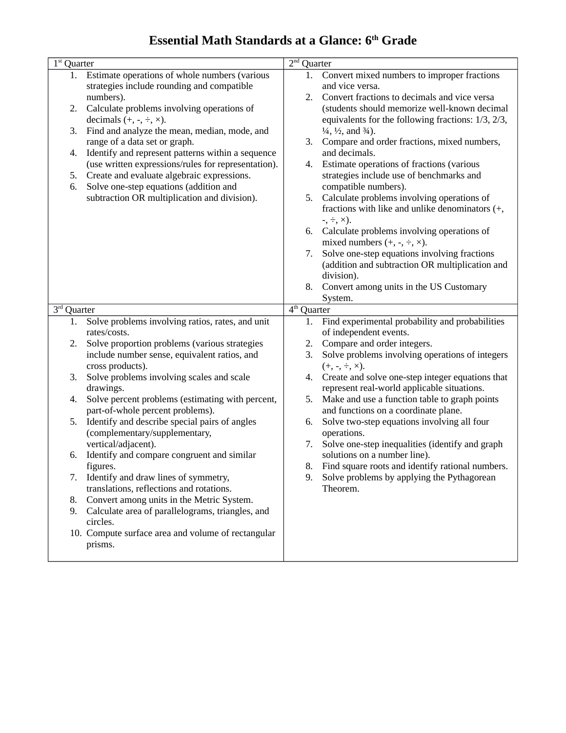### **Essential Math Standards at a Glance: 6<sup>th</sup> Grade**

| $1st$ Quarter              |                                                                                  | 2 <sup>nd</sup><br>Quarter                                                                   |  |
|----------------------------|----------------------------------------------------------------------------------|----------------------------------------------------------------------------------------------|--|
| 1.                         | Estimate operations of whole numbers (various                                    | Convert mixed numbers to improper fractions<br>1.                                            |  |
|                            | strategies include rounding and compatible                                       | and vice versa.                                                                              |  |
|                            | numbers).                                                                        | Convert fractions to decimals and vice versa<br>2.                                           |  |
| 2.                         | Calculate problems involving operations of                                       | (students should memorize well-known decimal                                                 |  |
|                            | decimals $(+, -, \div, \times)$ .                                                | equivalents for the following fractions: 1/3, 2/3,                                           |  |
| 3.                         | Find and analyze the mean, median, mode, and                                     | $\frac{1}{4}$ , $\frac{1}{2}$ , and $\frac{3}{4}$ ).                                         |  |
|                            | range of a data set or graph.                                                    | Compare and order fractions, mixed numbers,<br>3.                                            |  |
| 4.                         | Identify and represent patterns within a sequence                                | and decimals.                                                                                |  |
|                            | (use written expressions/rules for representation).                              | Estimate operations of fractions (various<br>4.                                              |  |
| 5.                         | Create and evaluate algebraic expressions.                                       | strategies include use of benchmarks and                                                     |  |
| 6.                         | Solve one-step equations (addition and                                           | compatible numbers).                                                                         |  |
|                            | subtraction OR multiplication and division).                                     | Calculate problems involving operations of<br>5.                                             |  |
|                            |                                                                                  | fractions with like and unlike denominators (+,                                              |  |
|                            |                                                                                  | $-$ , $\div$ , $\times$ ).                                                                   |  |
|                            |                                                                                  | 6. Calculate problems involving operations of                                                |  |
|                            |                                                                                  | mixed numbers $(+, -, \div, \times)$ .<br>Solve one-step equations involving fractions<br>7. |  |
|                            |                                                                                  | (addition and subtraction OR multiplication and                                              |  |
|                            |                                                                                  | division).                                                                                   |  |
|                            |                                                                                  | Convert among units in the US Customary<br>8.                                                |  |
|                            |                                                                                  | System.                                                                                      |  |
| 3 <sup>rd</sup><br>Quarter |                                                                                  | 4 <sup>th</sup><br>Quarter                                                                   |  |
|                            |                                                                                  |                                                                                              |  |
| 1.                         | Solve problems involving ratios, rates, and unit                                 | Find experimental probability and probabilities                                              |  |
|                            | rates/costs.                                                                     | of independent events.                                                                       |  |
| 2.                         | Solve proportion problems (various strategies                                    | Compare and order integers.<br>2.                                                            |  |
|                            | include number sense, equivalent ratios, and                                     | Solve problems involving operations of integers<br>3.                                        |  |
|                            | cross products).                                                                 | $(+, -, \div, \times).$                                                                      |  |
| 3.                         | Solve problems involving scales and scale                                        | Create and solve one-step integer equations that<br>4.                                       |  |
|                            | drawings.                                                                        | represent real-world applicable situations.                                                  |  |
| 4.                         | Solve percent problems (estimating with percent,                                 | Make and use a function table to graph points<br>5.                                          |  |
|                            | part-of-whole percent problems).                                                 | and functions on a coordinate plane.                                                         |  |
| 5.                         | Identify and describe special pairs of angles                                    | Solve two-step equations involving all four<br>6.                                            |  |
|                            | (complementary/supplementary,                                                    | operations.                                                                                  |  |
|                            | vertical/adjacent).                                                              | Solve one-step inequalities (identify and graph<br>7.                                        |  |
| 6.                         | Identify and compare congruent and similar                                       | solutions on a number line).                                                                 |  |
| 7.                         | figures.                                                                         | 8. Find square roots and identify rational numbers.<br>9.                                    |  |
|                            | Identify and draw lines of symmetry,<br>translations, reflections and rotations. | Solve problems by applying the Pythagorean<br>Theorem.                                       |  |
| 8.                         | Convert among units in the Metric System.                                        |                                                                                              |  |
| 9.                         | Calculate area of parallelograms, triangles, and                                 |                                                                                              |  |
|                            | circles.                                                                         |                                                                                              |  |
|                            | 10. Compute surface area and volume of rectangular                               |                                                                                              |  |
|                            | prisms.                                                                          |                                                                                              |  |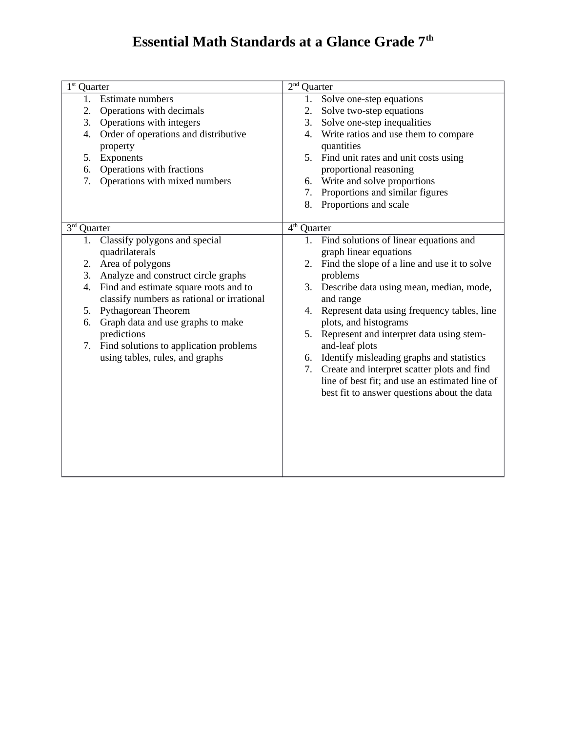# **Essential Math Standards at a Glance Grade 7th**

| $1st$ Quarter               |                                            | 2 <sup>nd</sup> | Quarter                                        |
|-----------------------------|--------------------------------------------|-----------------|------------------------------------------------|
| 1.                          | <b>Estimate numbers</b>                    | 1.              | Solve one-step equations                       |
| 2.                          | Operations with decimals                   | 2.              | Solve two-step equations                       |
| 3.                          | Operations with integers                   | 3.              | Solve one-step inequalities                    |
| 4.                          | Order of operations and distributive       | 4.              | Write ratios and use them to compare           |
|                             | property                                   |                 | quantities                                     |
| 5.                          | Exponents                                  |                 | 5. Find unit rates and unit costs using        |
| 6.                          | Operations with fractions                  |                 | proportional reasoning                         |
| 7.                          | Operations with mixed numbers              | 6.              | Write and solve proportions                    |
|                             |                                            | 7.              | Proportions and similar figures                |
|                             |                                            | 8.              | Proportions and scale                          |
|                             |                                            |                 |                                                |
| $\overline{3^{rd}}$ Quarter |                                            | $4th$ Quarter   |                                                |
| 1.                          | Classify polygons and special              | 1.              | Find solutions of linear equations and         |
|                             | quadrilaterals                             |                 | graph linear equations                         |
|                             | 2. Area of polygons                        | 2.              | Find the slope of a line and use it to solve   |
| 3.                          | Analyze and construct circle graphs        |                 | problems                                       |
| 4.                          | Find and estimate square roots and to      |                 | 3. Describe data using mean, median, mode,     |
|                             | classify numbers as rational or irrational |                 | and range                                      |
| 5.                          | Pythagorean Theorem                        | 4.              | Represent data using frequency tables, line    |
| 6.                          | Graph data and use graphs to make          |                 | plots, and histograms                          |
|                             | predictions                                | 5.              | Represent and interpret data using stem-       |
| 7.                          | Find solutions to application problems     |                 | and-leaf plots                                 |
|                             | using tables, rules, and graphs            | 6.              | Identify misleading graphs and statistics      |
|                             |                                            | 7.              | Create and interpret scatter plots and find    |
|                             |                                            |                 | line of best fit; and use an estimated line of |
|                             |                                            |                 | best fit to answer questions about the data    |
|                             |                                            |                 |                                                |
|                             |                                            |                 |                                                |
|                             |                                            |                 |                                                |
|                             |                                            |                 |                                                |
|                             |                                            |                 |                                                |
|                             |                                            |                 |                                                |
|                             |                                            |                 |                                                |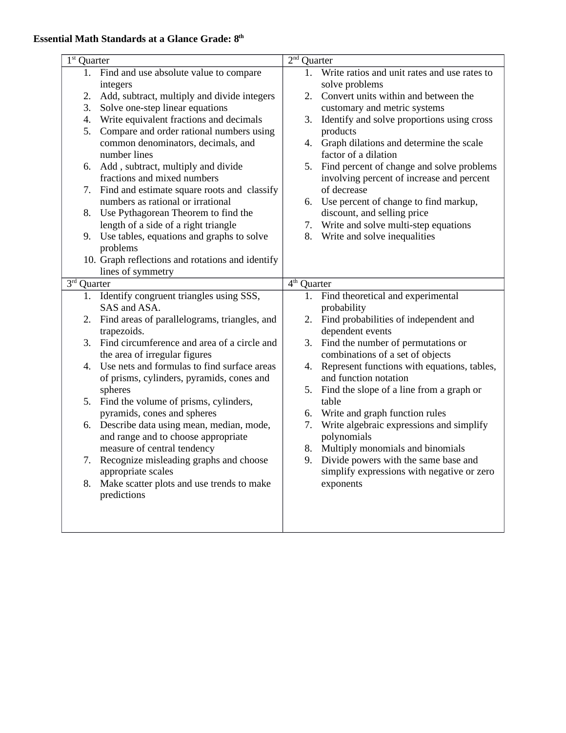### **Essential Math Standards at a Glance Grade: 8th**

| $1st$ Quarter |                                                  | $2nd$ Quarter |                                                 |
|---------------|--------------------------------------------------|---------------|-------------------------------------------------|
| 1.            | Find and use absolute value to compare           |               | 1. Write ratios and unit rates and use rates to |
|               | integers                                         |               | solve problems                                  |
| 2.            | Add, subtract, multiply and divide integers      | 2.            | Convert units within and between the            |
| 3.            | Solve one-step linear equations                  |               | customary and metric systems                    |
| 4.            | Write equivalent fractions and decimals          | 3.            | Identify and solve proportions using cross      |
| 5.            | Compare and order rational numbers using         |               | products                                        |
|               | common denominators, decimals, and               |               | 4. Graph dilations and determine the scale      |
|               | number lines                                     |               | factor of a dilation                            |
| 6.            | Add, subtract, multiply and divide               | 5.            | Find percent of change and solve problems       |
|               | fractions and mixed numbers                      |               | involving percent of increase and percent       |
| 7.            | Find and estimate square roots and classify      |               | of decrease                                     |
|               | numbers as rational or irrational                | 6.            | Use percent of change to find markup,           |
| 8.            | Use Pythagorean Theorem to find the              |               | discount, and selling price                     |
|               | length of a side of a right triangle             | 7.            | Write and solve multi-step equations            |
| 9.            | Use tables, equations and graphs to solve        | 8.            | Write and solve inequalities                    |
|               | problems                                         |               |                                                 |
|               | 10. Graph reflections and rotations and identify |               |                                                 |
|               | lines of symmetry                                |               |                                                 |
| $3rd$ Quarter |                                                  | $4th$ Quarter |                                                 |
| 1.            | Identify congruent triangles using SSS,          | 1.            | Find theoretical and experimental               |
|               | SAS and ASA.                                     |               | probability                                     |
| 2.            | Find areas of parallelograms, triangles, and     | 2.            | Find probabilities of independent and           |
|               | trapezoids.                                      |               | dependent events                                |
|               |                                                  |               |                                                 |
| 3.            | Find circumference and area of a circle and      | 3.            | Find the number of permutations or              |
|               | the area of irregular figures                    |               | combinations of a set of objects                |
| 4.            | Use nets and formulas to find surface areas      | 4.            | Represent functions with equations, tables,     |
|               | of prisms, cylinders, pyramids, cones and        |               | and function notation                           |
|               | spheres                                          | 5.            | Find the slope of a line from a graph or        |
| 5.            | Find the volume of prisms, cylinders,            |               | table                                           |
|               | pyramids, cones and spheres                      | 6.            | Write and graph function rules                  |
| 6.            | Describe data using mean, median, mode,          | 7.            | Write algebraic expressions and simplify        |
|               | and range and to choose appropriate              |               | polynomials                                     |
|               | measure of central tendency                      | 8.            | Multiply monomials and binomials                |
| 7.            | Recognize misleading graphs and choose           | 9.            | Divide powers with the same base and            |
|               | appropriate scales                               |               | simplify expressions with negative or zero      |
| 8.            | Make scatter plots and use trends to make        |               | exponents                                       |
|               | predictions                                      |               |                                                 |
|               |                                                  |               |                                                 |
|               |                                                  |               |                                                 |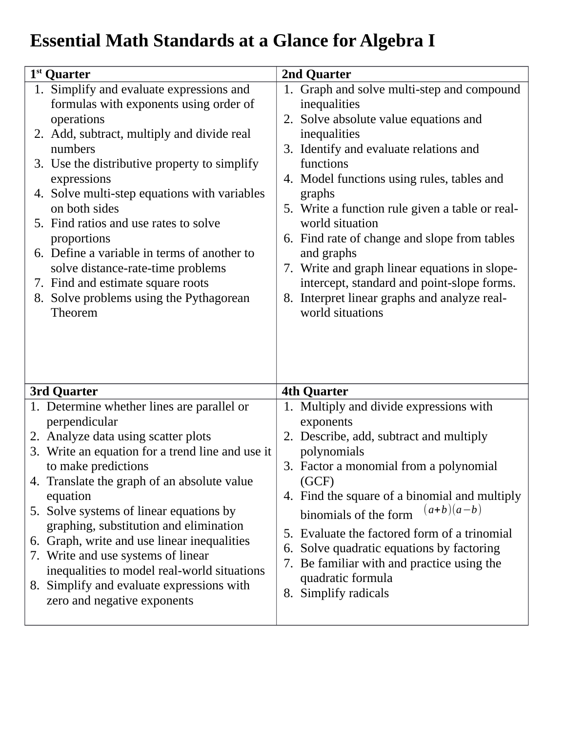# **Essential Math Standards at a Glance for Algebra I**

| 1 <sup>st</sup> Quarter                                                                                                                                                                                                                                                                                                                                                                                                                                                                                                                       | 2nd Quarter                                                                                                                                                                                                                                                                                                                                                                                                                                         |
|-----------------------------------------------------------------------------------------------------------------------------------------------------------------------------------------------------------------------------------------------------------------------------------------------------------------------------------------------------------------------------------------------------------------------------------------------------------------------------------------------------------------------------------------------|-----------------------------------------------------------------------------------------------------------------------------------------------------------------------------------------------------------------------------------------------------------------------------------------------------------------------------------------------------------------------------------------------------------------------------------------------------|
| 1. Simplify and evaluate expressions and<br>formulas with exponents using order of<br>operations<br>2. Add, subtract, multiply and divide real<br>numbers<br>3. Use the distributive property to simplify<br>expressions<br>4. Solve multi-step equations with variables<br>on both sides<br>5. Find ratios and use rates to solve                                                                                                                                                                                                            | 1. Graph and solve multi-step and compound<br>inequalities<br>2. Solve absolute value equations and<br>inequalities<br>3. Identify and evaluate relations and<br>functions<br>4. Model functions using rules, tables and<br>graphs<br>5. Write a function rule given a table or real-<br>world situation                                                                                                                                            |
| proportions<br>6. Define a variable in terms of another to<br>solve distance-rate-time problems<br>7. Find and estimate square roots<br>8. Solve problems using the Pythagorean<br>Theorem                                                                                                                                                                                                                                                                                                                                                    | 6. Find rate of change and slope from tables<br>and graphs<br>7. Write and graph linear equations in slope-<br>intercept, standard and point-slope forms.<br>8. Interpret linear graphs and analyze real-<br>world situations                                                                                                                                                                                                                       |
| 3rd Quarter                                                                                                                                                                                                                                                                                                                                                                                                                                                                                                                                   | <b>4th Quarter</b>                                                                                                                                                                                                                                                                                                                                                                                                                                  |
| 1. Determine whether lines are parallel or<br>perpendicular<br>2. Analyze data using scatter plots<br>3. Write an equation for a trend line and use it<br>to make predictions<br>4. Translate the graph of an absolute value<br>equation<br>5. Solve systems of linear equations by<br>graphing, substitution and elimination<br>6. Graph, write and use linear inequalities<br>7. Write and use systems of linear<br>inequalities to model real-world situations<br>8. Simplify and evaluate expressions with<br>zero and negative exponents | 1. Multiply and divide expressions with<br>exponents<br>2. Describe, add, subtract and multiply<br>polynomials<br>3. Factor a monomial from a polynomial<br>(GCF)<br>4. Find the square of a binomial and multiply<br>$(a+b)(a-b)$<br>binomials of the form<br>5. Evaluate the factored form of a trinomial<br>Solve quadratic equations by factoring<br>6.<br>Be familiar with and practice using the<br>quadratic formula<br>8. Simplify radicals |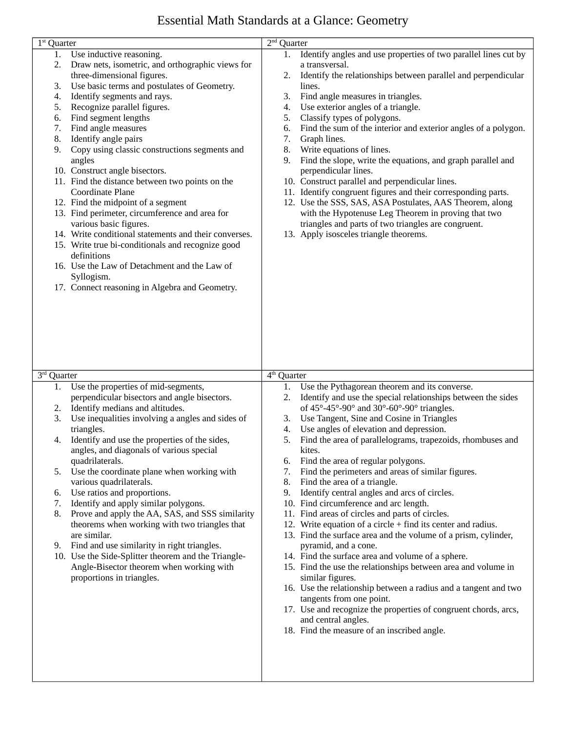### Essential Math Standards at a Glance: Geometry

| $1st$ Quarter |                                                       | $2nd$ Quarter |                                                                 |
|---------------|-------------------------------------------------------|---------------|-----------------------------------------------------------------|
| 1.            | Use inductive reasoning.                              | 1.            | Identify angles and use properties of two parallel lines cut by |
| 2.            | Draw nets, isometric, and orthographic views for      |               | a transversal.                                                  |
|               | three-dimensional figures.                            | 2.            | Identify the relationships between parallel and perpendicular   |
| 3.            | Use basic terms and postulates of Geometry.           |               | lines.                                                          |
| 4.            | Identify segments and rays.                           | 3.            | Find angle measures in triangles.                               |
| 5.            | Recognize parallel figures.                           | 4.            | Use exterior angles of a triangle.                              |
| 6.            | Find segment lengths                                  | 5.            | Classify types of polygons.                                     |
| 7.            | Find angle measures                                   | 6.            | Find the sum of the interior and exterior angles of a polygon.  |
| 8.            | Identify angle pairs                                  | 7.            | Graph lines.                                                    |
| 9.            | Copy using classic constructions segments and         | 8.            | Write equations of lines.                                       |
|               | angles                                                | 9.            | Find the slope, write the equations, and graph parallel and     |
|               | 10. Construct angle bisectors.                        |               | perpendicular lines.                                            |
|               | 11. Find the distance between two points on the       |               | 10. Construct parallel and perpendicular lines.                 |
|               | Coordinate Plane                                      |               | 11. Identify congruent figures and their corresponding parts.   |
|               | 12. Find the midpoint of a segment                    |               | 12. Use the SSS, SAS, ASA Postulates, AAS Theorem, along        |
|               | 13. Find perimeter, circumference and area for        |               | with the Hypotenuse Leg Theorem in proving that two             |
|               | various basic figures.                                |               | triangles and parts of two triangles are congruent.             |
|               | 14. Write conditional statements and their converses. |               | 13. Apply isosceles triangle theorems.                          |
|               | 15. Write true bi-conditionals and recognize good     |               |                                                                 |
|               | definitions                                           |               |                                                                 |
|               | 16. Use the Law of Detachment and the Law of          |               |                                                                 |
|               | Syllogism.                                            |               |                                                                 |
|               | 17. Connect reasoning in Algebra and Geometry.        |               |                                                                 |
|               |                                                       |               |                                                                 |
|               |                                                       |               |                                                                 |
|               |                                                       |               |                                                                 |
|               |                                                       |               |                                                                 |
|               |                                                       |               |                                                                 |
|               |                                                       |               |                                                                 |
| $3rd$ Quarter |                                                       | $4th$ Quarter |                                                                 |
| 1.            | Use the properties of mid-segments,                   | 1.            | Use the Pythagorean theorem and its converse.                   |
|               | perpendicular bisectors and angle bisectors.          | 2.            | Identify and use the special relationships between the sides    |
| 2.            | Identify medians and altitudes.                       |               | of $45^{\circ}$ -45°-90° and 30°-60°-90° triangles.             |
| 3.            | Use inequalities involving a angles and sides of      | 3.            | Use Tangent, Sine and Cosine in Triangles                       |
|               | triangles.                                            | 4.            | Use angles of elevation and depression.                         |
| 4.            | Identify and use the properties of the sides,         | 5.            | Find the area of parallelograms, trapezoids, rhombuses and      |
|               | angles, and diagonals of various special              |               | kites.                                                          |
|               | quadrilaterals.                                       | 6.            | Find the area of regular polygons.                              |
| 5.            | Use the coordinate plane when working with            | 7.            | Find the perimeters and areas of similar figures.               |
|               | various quadrilaterals.                               | 8.            | Find the area of a triangle.                                    |
| 6.            | Use ratios and proportions.                           | 9.            | Identify central angles and arcs of circles.                    |
| 7.            | Identify and apply similar polygons.                  |               | 10. Find circumference and arc length.                          |
| 8.            | Prove and apply the AA, SAS, and SSS similarity       |               | 11. Find areas of circles and parts of circles.                 |
|               | theorems when working with two triangles that         |               | 12. Write equation of a circle + find its center and radius.    |
|               | are similar.                                          |               | 13. Find the surface area and the volume of a prism, cylinder,  |
| 9.            | Find and use similarity in right triangles.           |               | pyramid, and a cone.                                            |
|               | 10. Use the Side-Splitter theorem and the Triangle-   |               | 14. Find the surface area and volume of a sphere.               |
|               | Angle-Bisector theorem when working with              |               | 15. Find the use the relationships between area and volume in   |
|               | proportions in triangles.                             |               | similar figures.                                                |
|               |                                                       |               | 16. Use the relationship between a radius and a tangent and two |
|               |                                                       |               | tangents from one point.                                        |
|               |                                                       |               | 17. Use and recognize the properties of congruent chords, arcs, |
|               |                                                       |               | and central angles.                                             |
|               |                                                       |               | 18. Find the measure of an inscribed angle.                     |
|               |                                                       |               |                                                                 |
|               |                                                       |               |                                                                 |
|               |                                                       |               |                                                                 |
|               |                                                       |               |                                                                 |